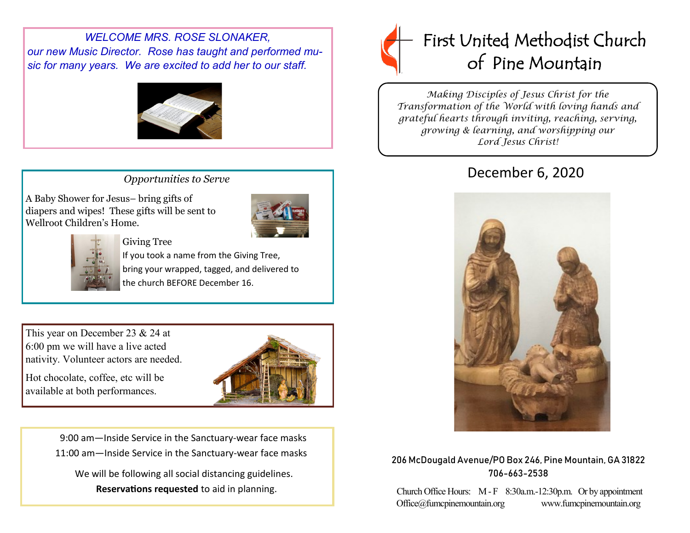*WELCOME MRS. ROSE SLONAKER, our new Music Director. Rose has taught and performed music for many years. We are excited to add her to our staff.*



## *Opportunities to Serve*

A Baby Shower for Jesus– bring gifts of diapers and wipes! These gifts will be sent to Wellroot Children's Home.





 If you took a name from the Giving Tree, bring your wrapped, tagged, and delivered to the church BEFORE December 16.

This year on December 23 & 24 at 6:00 pm we will have a live acted nativity. Volunteer actors are needed.

Hot chocolate, coffee, etc will be available at both performances.



 9:00 am—Inside Service in the Sanctuary-wear face masks 11:00 am—Inside Service in the Sanctuary-wear face masks We will be following all social distancing guidelines.

**Reservations requested** to aid in planning.



*Making Disciples of Jesus Christ for the Transformation of the World with loving hands and grateful hearts through inviting, reaching, serving, growing & learning, and worshipping our Lord Jesus Christ!* 

# December 6, 2020



### 206 McDougald Avenue/PO Box 246, Pine Mountain, GA 31822 706-663-2538

Church Office Hours: M - F 8:30a.m.-12:30p.m. Or by appointment Office@fumcpinemountain.org www.fumcpinemountain.org